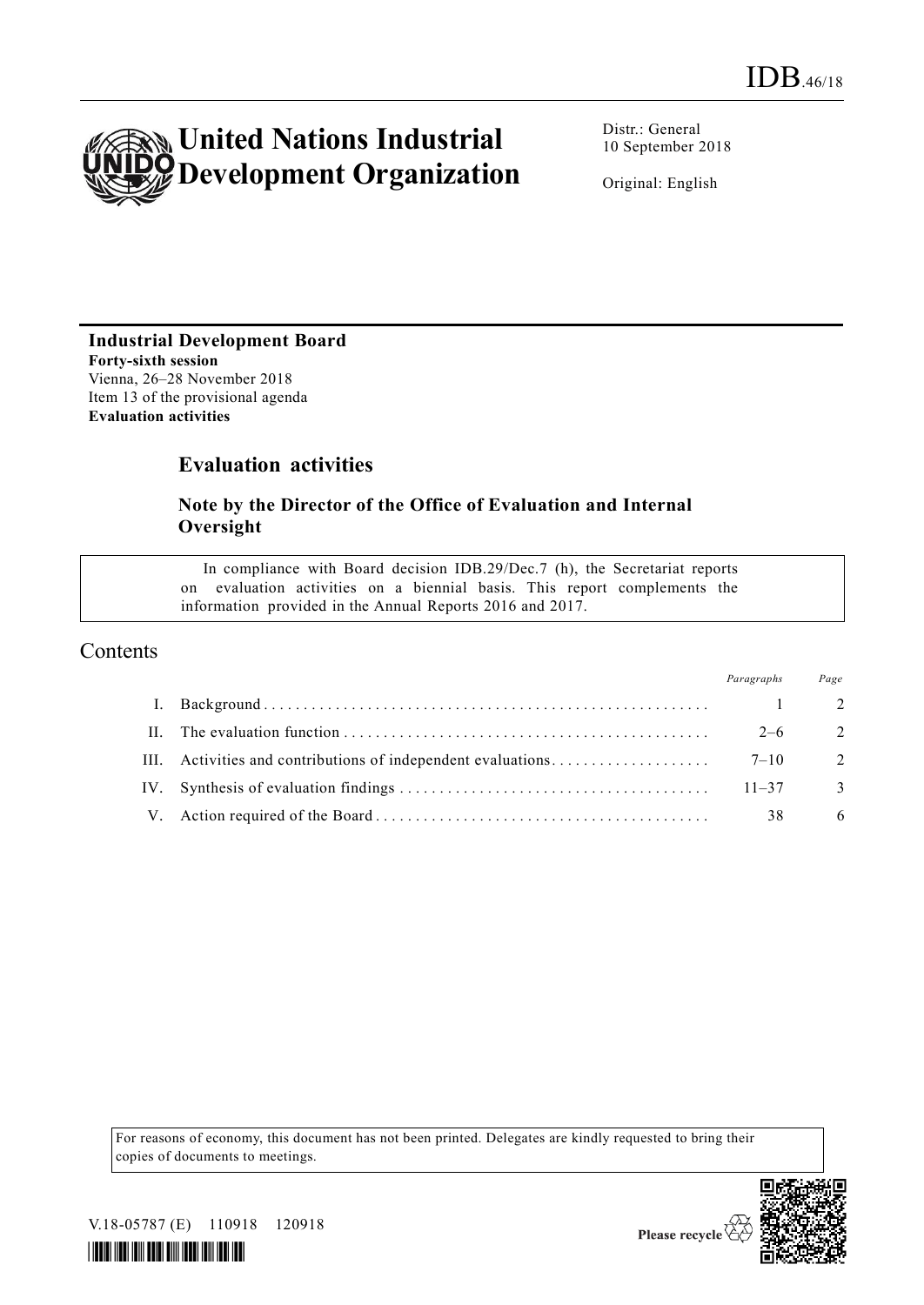

Distr.: General 10 September 2018

Original: English

# **Industrial Development Board Forty-sixth session**

Vienna, 26–28 November 2018 Item 13 of the provisional agenda **Evaluation activities** 

# **Evaluation activities**

### **Note by the Director of the Office of Evaluation and Internal Oversight**

In compliance with Board decision IDB.29/Dec.7 (h), the Secretariat reports on evaluation activities on a biennial basis. This report complements the information provided in the Annual Reports 2016 and 2017.

## Contents

|     | Paragraphs | Page           |
|-----|------------|----------------|
|     |            | $\mathcal{L}$  |
|     | $2 - 6$    | $\overline{2}$ |
|     |            | $\overline{2}$ |
| IV. | $11 - 37$  | 3              |
|     | 38         | 6              |

For reasons of economy, this document has not been printed. Delegates are kindly requested to bring their copies of documents to meetings.



V.18-05787 (E) 110918 120918

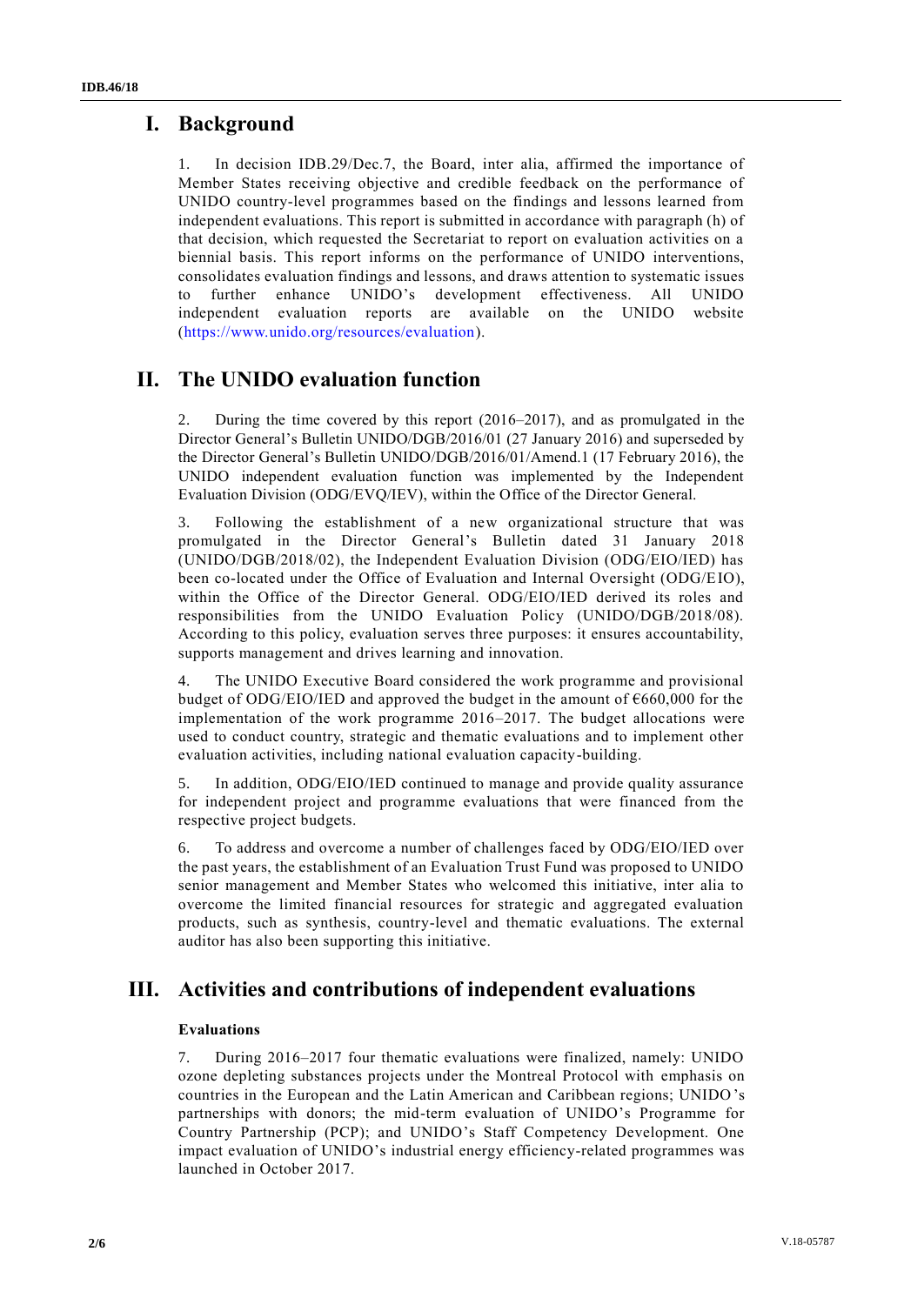# **I. Background**

1. In decision IDB.29/Dec.7, the Board, inter alia, affirmed the importance of Member States receiving objective and credible feedback on the performance of UNIDO country-level programmes based on the findings and lessons learned from independent evaluations. This report is submitted in accordance with paragraph (h) of that decision, which requested the Secretariat to report on evaluation activities on a biennial basis. This report informs on the performance of UNIDO interventions, consolidates evaluation findings and lessons, and draws attention to systematic issues to further enhance UNIDO's development effectiveness. All UNIDO independent evaluation reports are available on the UNIDO website [\(https://www.unido.org/resources/evaluation\)](https://www.unido.org/resources/evaluation).

# **II. The UNIDO evaluation function**

2. During the time covered by this report (2016–2017), and as promulgated in the Director General's Bulletin UNIDO/DGB/2016/01 (27 January 2016) and superseded by the Director General's Bulletin UNIDO/DGB/2016/01/Amend.1 (17 February 2016), the UNIDO independent evaluation function was implemented by the Independent Evaluation Division (ODG/EVQ/IEV), within the Office of the Director General.

3. Following the establishment of a new organizational structure that was promulgated in the Director General's Bulletin dated 31 January 2018 (UNIDO/DGB/2018/02), the Independent Evaluation Division (ODG/EIO/IED) has been co-located under the Office of Evaluation and Internal Oversight (ODG/EIO), within the Office of the Director General. ODG/EIO/IED derived its roles and responsibilities from the UNIDO Evaluation Policy (UNIDO/DGB/2018/08). According to this policy, evaluation serves three purposes: it ensures accountability, supports management and drives learning and innovation.

4. The UNIDO Executive Board considered the work programme and provisional budget of ODG/EIO/IED and approved the budget in the amount of  $\epsilon$ 660,000 for the implementation of the work programme 2016–2017. The budget allocations were used to conduct country, strategic and thematic evaluations and to implement other evaluation activities, including national evaluation capacity-building.

5. In addition, ODG/EIO/IED continued to manage and provide quality assurance for independent project and programme evaluations that were financed from the respective project budgets.

6. To address and overcome a number of challenges faced by ODG/EIO/IED over the past years, the establishment of an Evaluation Trust Fund was proposed to UNIDO senior management and Member States who welcomed this initiative, inter alia to overcome the limited financial resources for strategic and aggregated evaluation products, such as synthesis, country-level and thematic evaluations. The external auditor has also been supporting this initiative.

# **III. Activities and contributions of independent evaluations**

### **Evaluations**

7. During 2016–2017 four thematic evaluations were finalized, namely: UNIDO ozone depleting substances projects under the Montreal Protocol with emphasis on countries in the European and the Latin American and Caribbean regions; UNIDO's partnerships with donors; the mid-term evaluation of UNIDO's Programme for Country Partnership (PCP); and UNIDO's Staff Competency Development. One impact evaluation of UNIDO's industrial energy efficiency-related programmes was launched in October 2017.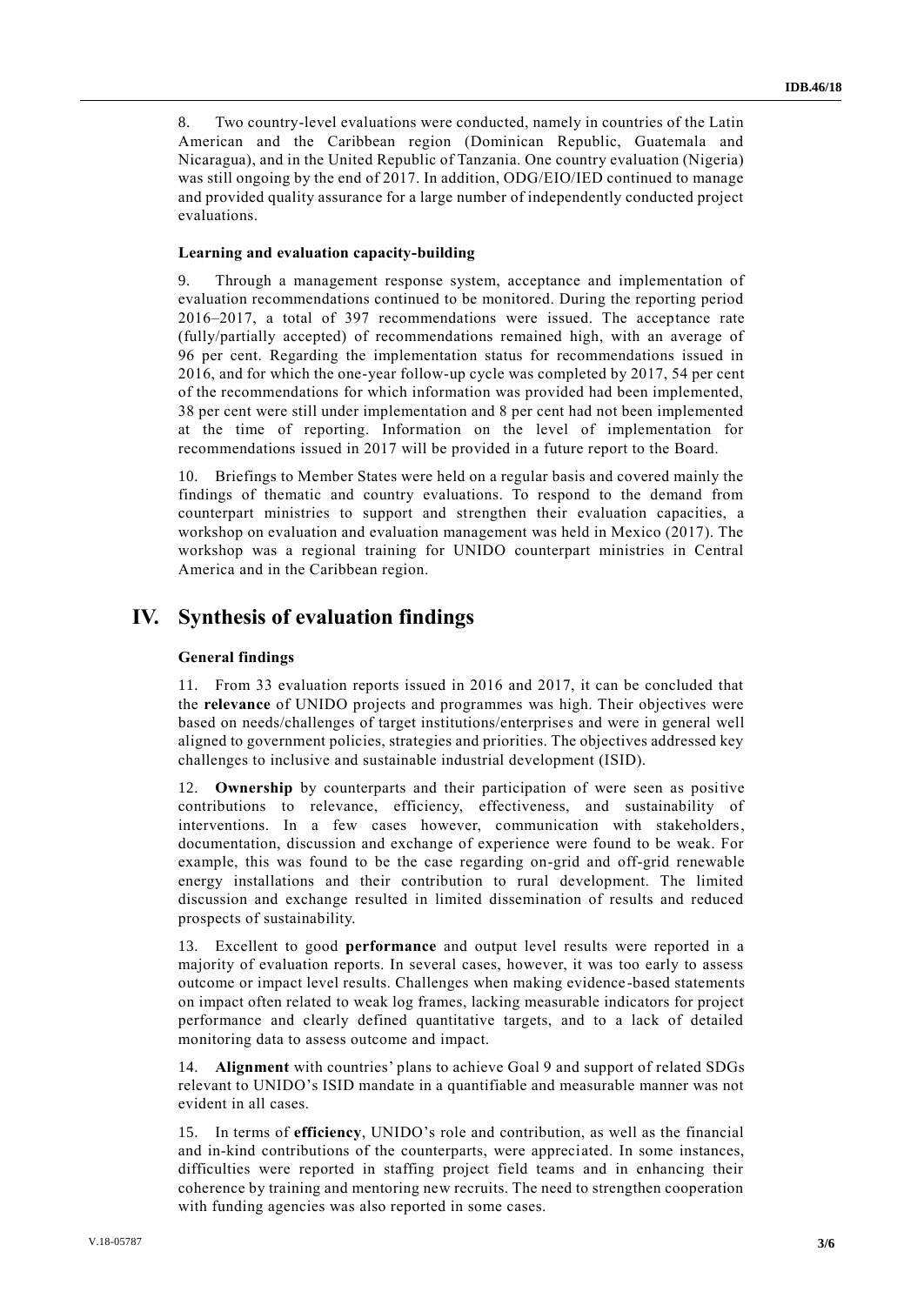8. Two country-level evaluations were conducted, namely in countries of the Latin American and the Caribbean region (Dominican Republic, Guatemala and Nicaragua), and in the United Republic of Tanzania. One country evaluation (Nigeria) was still ongoing by the end of 2017. In addition, ODG/EIO/IED continued to manage and provided quality assurance for a large number of independently conducted project evaluations.

### **Learning and evaluation capacity-building**

9. Through a management response system, acceptance and implementation of evaluation recommendations continued to be monitored. During the reporting period 2016–2017, a total of 397 recommendations were issued. The acceptance rate (fully/partially accepted) of recommendations remained high, with an average of 96 per cent. Regarding the implementation status for recommendations issued in 2016, and for which the one-year follow-up cycle was completed by 2017, 54 per cent of the recommendations for which information was provided had been implemented, 38 per cent were still under implementation and 8 per cent had not been implemented at the time of reporting. Information on the level of implementation for recommendations issued in 2017 will be provided in a future report to the Board.

10. Briefings to Member States were held on a regular basis and covered mainly the findings of thematic and country evaluations. To respond to the demand from counterpart ministries to support and strengthen their evaluation capacities, a workshop on evaluation and evaluation management was held in Mexico (2017). The workshop was a regional training for UNIDO counterpart ministries in Central America and in the Caribbean region.

## **IV. Synthesis of evaluation findings**

### **General findings**

11. From 33 evaluation reports issued in 2016 and 2017, it can be concluded that the **relevance** of UNIDO projects and programmes was high. Their objectives were based on needs/challenges of target institutions/enterprises and were in general well aligned to government policies, strategies and priorities. The objectives addressed key challenges to inclusive and sustainable industrial development (ISID).

12. **Ownership** by counterparts and their participation of were seen as positive contributions to relevance, efficiency, effectiveness, and sustainability of interventions. In a few cases however, communication with stakeholders, documentation, discussion and exchange of experience were found to be weak. For example, this was found to be the case regarding on-grid and off-grid renewable energy installations and their contribution to rural development. The limited discussion and exchange resulted in limited dissemination of results and reduced prospects of sustainability.

13. Excellent to good **performance** and output level results were reported in a majority of evaluation reports. In several cases, however, it was too early to assess outcome or impact level results. Challenges when making evidence -based statements on impact often related to weak log frames, lacking measurable indicators for project performance and clearly defined quantitative targets, and to a lack of detailed monitoring data to assess outcome and impact.

14. **Alignment** with countries' plans to achieve Goal 9 and support of related SDGs relevant to UNIDO's ISID mandate in a quantifiable and measurable manner was not evident in all cases.

15. In terms of **efficiency**, UNIDO's role and contribution, as well as the financial and in-kind contributions of the counterparts, were appreciated. In some instances, difficulties were reported in staffing project field teams and in enhancing their coherence by training and mentoring new recruits. The need to strengthen cooperation with funding agencies was also reported in some cases.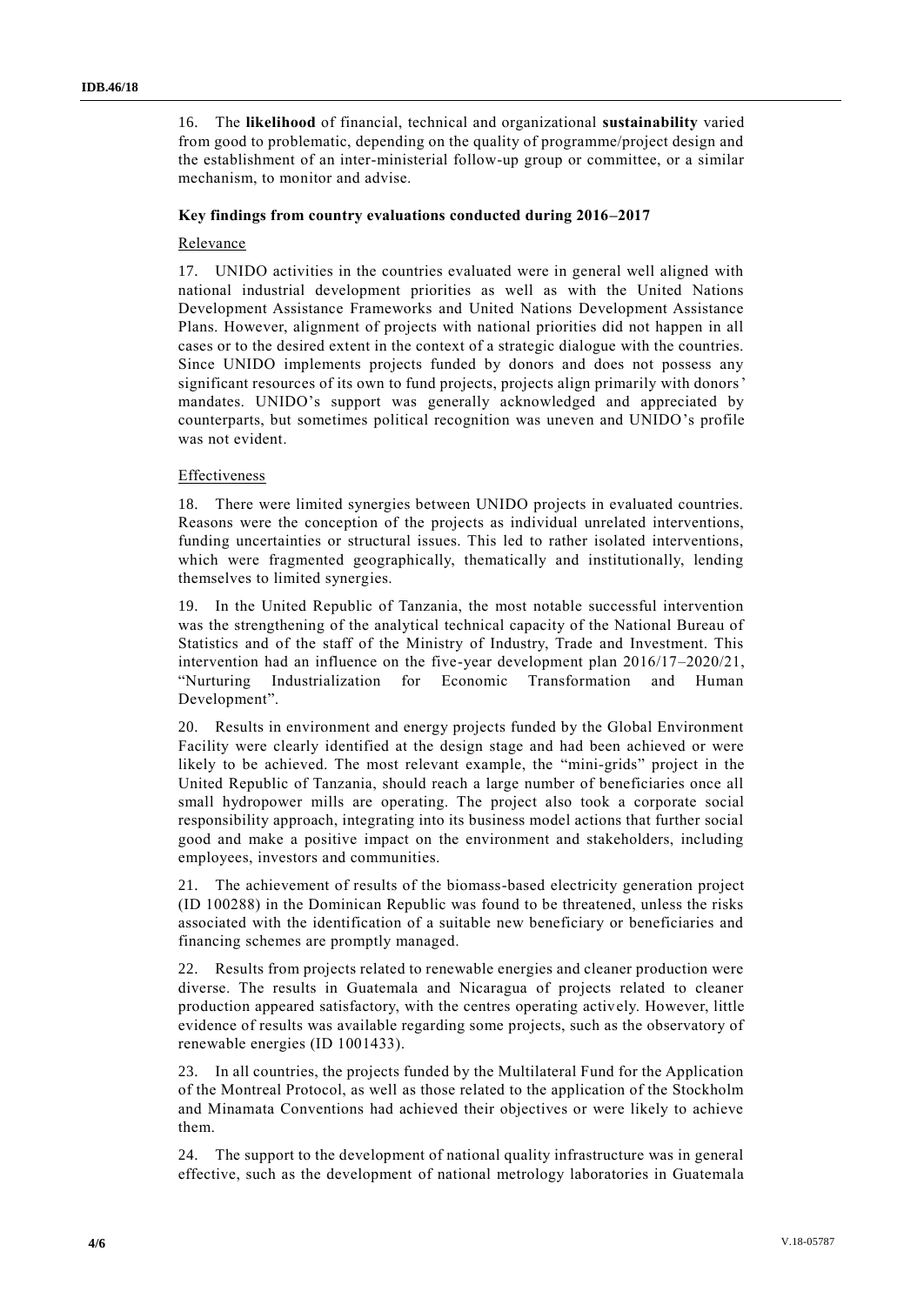16. The **likelihood** of financial, technical and organizational **sustainability** varied from good to problematic, depending on the quality of programme/project design and the establishment of an inter-ministerial follow-up group or committee, or a similar mechanism, to monitor and advise.

### **Key findings from country evaluations conducted during 2016–2017**

### Relevance

17. UNIDO activities in the countries evaluated were in general well aligned with national industrial development priorities as well as with the United Nations Development Assistance Frameworks and United Nations Development Assistance Plans. However, alignment of projects with national priorities did not happen in all cases or to the desired extent in the context of a strategic dialogue with the countries. Since UNIDO implements projects funded by donors and does not possess any significant resources of its own to fund projects, projects align primarily with donors' mandates. UNIDO's support was generally acknowledged and appreciated by counterparts, but sometimes political recognition was uneven and UNIDO's profile was not evident.

### Effectiveness

18. There were limited synergies between UNIDO projects in evaluated countries. Reasons were the conception of the projects as individual unrelated interventions, funding uncertainties or structural issues. This led to rather isolated interventions, which were fragmented geographically, thematically and institutionally, lending themselves to limited synergies.

19. In the United Republic of Tanzania, the most notable successful intervention was the strengthening of the analytical technical capacity of the National Bureau of Statistics and of the staff of the Ministry of Industry, Trade and Investment. This intervention had an influence on the five-year development plan 2016/17–2020/21, "Nurturing Industrialization for Economic Transformation and Human Development".

20. Results in environment and energy projects funded by the Global Environment Facility were clearly identified at the design stage and had been achieved or were likely to be achieved. The most relevant example, the "mini-grids" project in the United Republic of Tanzania, should reach a large number of beneficiaries once all small hydropower mills are operating. The project also took a corporate social responsibility approach, integrating into its business model actions that further social good and make a positive impact on the environment and stakeholders, including employees, investors and communities.

21. The achievement of results of the biomass-based electricity generation project (ID 100288) in the Dominican Republic was found to be threatened, unless the risks associated with the identification of a suitable new beneficiary or beneficiaries and financing schemes are promptly managed.

22. Results from projects related to renewable energies and cleaner production were diverse. The results in Guatemala and Nicaragua of projects related to cleaner production appeared satisfactory, with the centres operating actively. However, little evidence of results was available regarding some projects, such as the observatory of renewable energies (ID 1001433).

23. In all countries, the projects funded by the Multilateral Fund for the Application of the Montreal Protocol, as well as those related to the application of the Stockholm and Minamata Conventions had achieved their objectives or were likely to achieve them.

24. The support to the development of national quality infrastructure was in general effective, such as the development of national metrology laboratories in Guatemala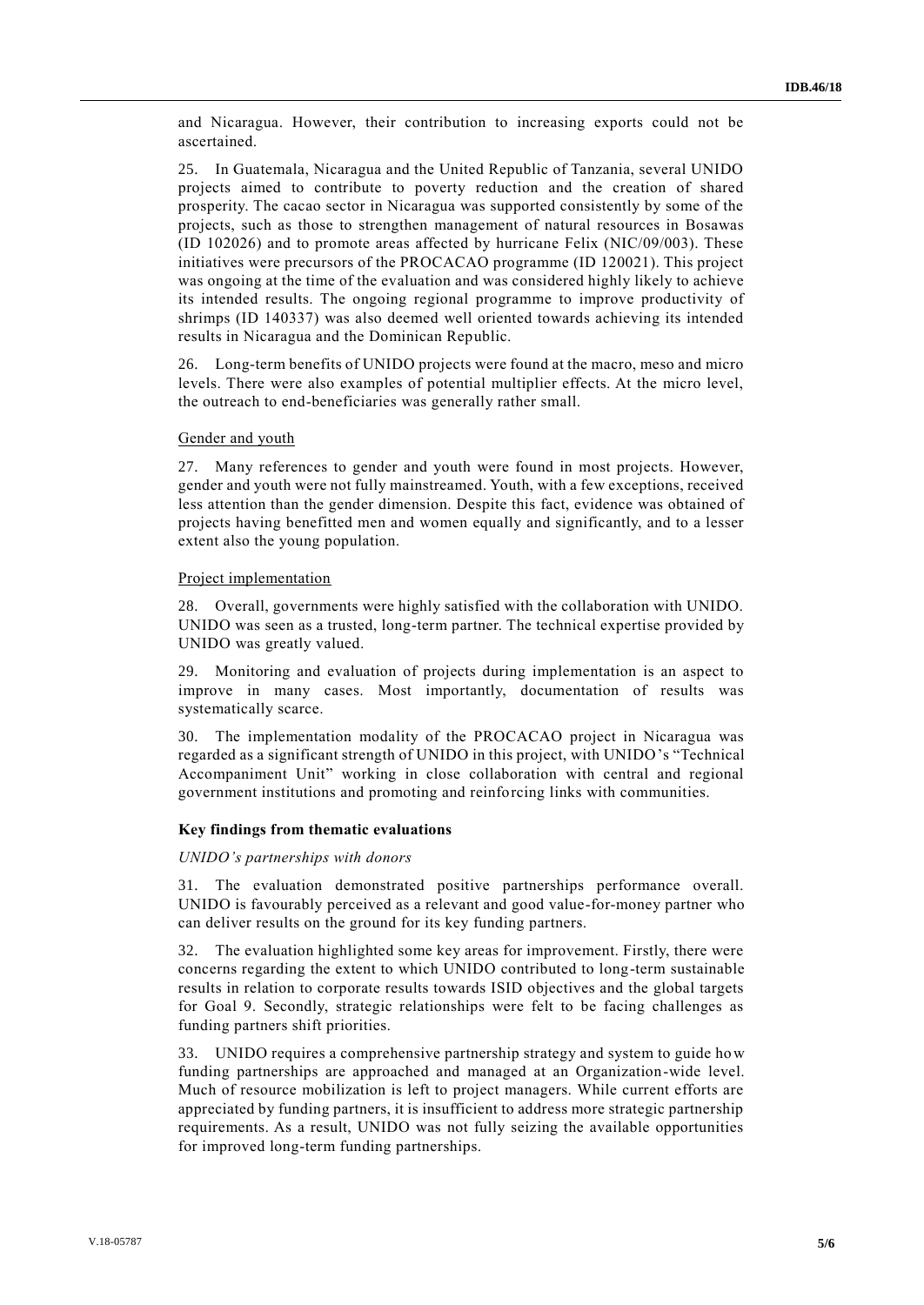and Nicaragua. However, their contribution to increasing exports could not be ascertained.

25. In Guatemala, Nicaragua and the United Republic of Tanzania, several UNIDO projects aimed to contribute to poverty reduction and the creation of shared prosperity. The cacao sector in Nicaragua was supported consistently by some of the projects, such as those to strengthen management of natural resources in Bosawas (ID 102026) and to promote areas affected by hurricane Felix (NIC/09/003). These initiatives were precursors of the PROCACAO programme (ID 120021). This project was ongoing at the time of the evaluation and was considered highly likely to achieve its intended results. The ongoing regional programme to improve productivity of shrimps (ID 140337) was also deemed well oriented towards achieving its intended results in Nicaragua and the Dominican Republic.

26. Long-term benefits of UNIDO projects were found at the macro, meso and micro levels. There were also examples of potential multiplier effects. At the micro level, the outreach to end-beneficiaries was generally rather small.

#### Gender and youth

27. Many references to gender and youth were found in most projects. However, gender and youth were not fully mainstreamed. Youth, with a few exceptions, received less attention than the gender dimension. Despite this fact, evidence was obtained of projects having benefitted men and women equally and significantly, and to a lesser extent also the young population.

#### Project implementation

28. Overall, governments were highly satisfied with the collaboration with UNIDO. UNIDO was seen as a trusted, long-term partner. The technical expertise provided by UNIDO was greatly valued.

29. Monitoring and evaluation of projects during implementation is an aspect to improve in many cases. Most importantly, documentation of results was systematically scarce.

30. The implementation modality of the PROCACAO project in Nicaragua was regarded as a significant strength of UNIDO in this project, with UNIDO's "Technical Accompaniment Unit" working in close collaboration with central and regional government institutions and promoting and reinforcing links with communities.

#### **Key findings from thematic evaluations**

#### *UNIDO's partnerships with donors*

31. The evaluation demonstrated positive partnerships performance overall. UNIDO is favourably perceived as a relevant and good value-for-money partner who can deliver results on the ground for its key funding partners.

32. The evaluation highlighted some key areas for improvement. Firstly, there were concerns regarding the extent to which UNIDO contributed to long-term sustainable results in relation to corporate results towards ISID objectives and the global targets for Goal 9. Secondly, strategic relationships were felt to be facing challenges as funding partners shift priorities.

33. UNIDO requires a comprehensive partnership strategy and system to guide how funding partnerships are approached and managed at an Organization-wide level. Much of resource mobilization is left to project managers. While current efforts are appreciated by funding partners, it is insufficient to address more strategic partnership requirements. As a result, UNIDO was not fully seizing the available opportunities for improved long-term funding partnerships.